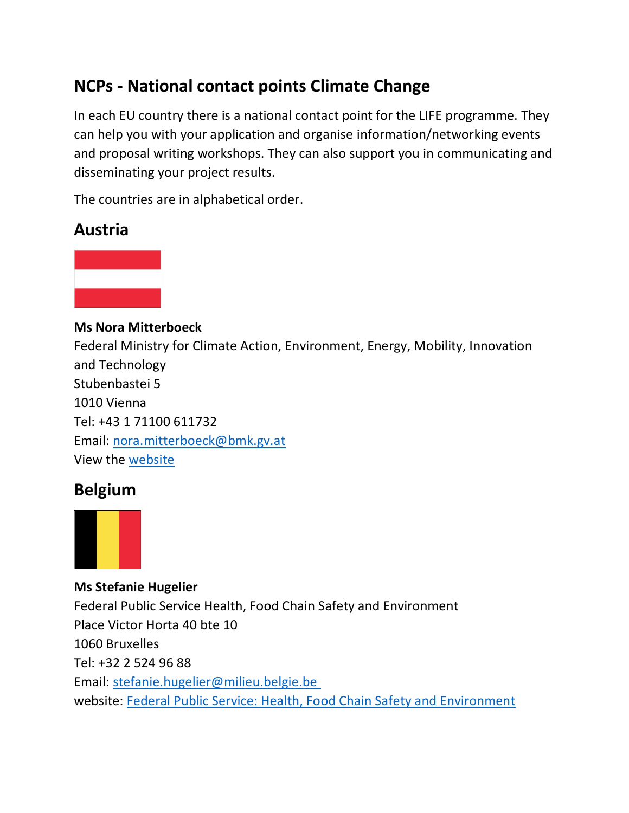# **NCPs - National contact points Climate Change**

In each EU country there is a national contact point for the LIFE programme. They can help you with your application and organise information/networking events and proposal writing workshops. They can also support you in communicating and disseminating your project results.

The countries are in alphabetical order.

# **Austria**



**Ms Nora Mitterboeck** Federal Ministry for Climate Action, Environment, Energy, Mobility, Innovation and Technology Stubenbastei 5 1010 Vienna Tel: +43 1 71100 611732 Email: [nora.mitterboeck@bmk.gv.at](mailto:nora.mitterboeck@bmk.gv.at) View the [website](https://www.bmnt.gv.at/umwelt/eu-international/eu-umweltpolitik.html)

# **Belgium**



**Ms Stefanie Hugelier** Federal Public Service Health, Food Chain Safety and Environment Place Victor Horta 40 bte 10 1060 Bruxelles Tel: +32 2 524 96 88 Email: [stefanie.hugelier@milieu.belgie.be](mailto:stefanie.hugelier@milieu.belgie.be) website: [Federal Public Service: Health, Food Chain Safety and Environment](https://www.health.belgium.be/en/programme-life-2014-2020)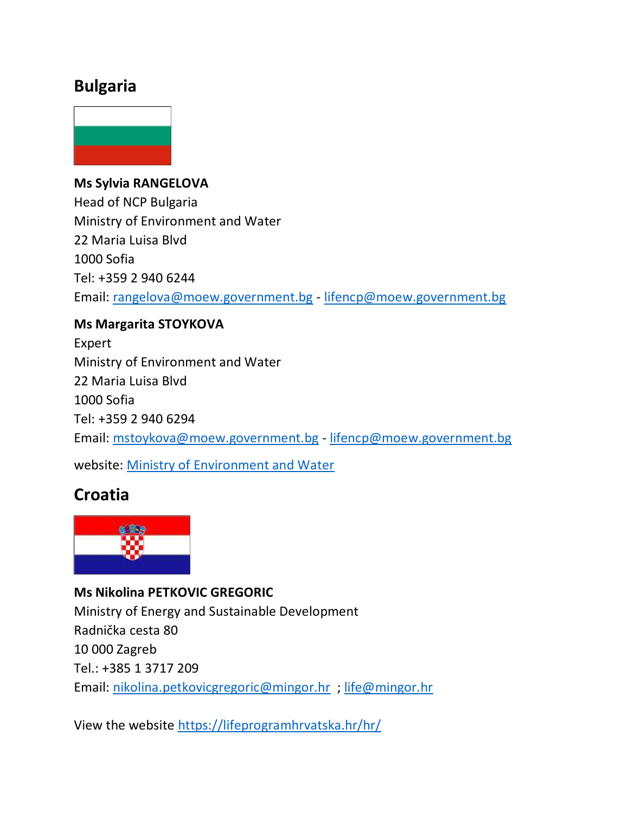## **Bulgaria**



**Ms Sylvia RANGELOVA** Head of NCP Bulgaria Ministry of Environment and Water 22 Maria Luisa Blvd 1000 Sofia Tel: +359 2 940 6244 Email: [rangelova@moew.government.bg](mailto:rangelova@moew.government.bg) - [lifencp@moew.government.bg](mailto:lifencp@moew.government.bg)

### **Ms Margarita STOYKOVA**

Expert Ministry of Environment and Water 22 Maria Luisa Blvd 1000 Sofia Tel: +359 2 940 6294 Email: [mstoykova@moew.government.bg](mailto:mstoykova@moew.government.bg) - [lifencp@moew.government.bg](mailto:lifencp@moew.government.bg)

website: [Ministry of Environment and Water](http://www.moew.government.bg/?show=182)

# **Croatia**



**Ms Nikolina PETKOVIC GREGORIC** Ministry of Energy and Sustainable Development Radnička cesta 80 10 000 Zagreb Tel.: +385 1 3717 209 Email: [nikolina.petkovicgregoric@mingor.hr](mailto:nikolina.petkovicgregoric@mingor.hr) ; [life@mingor.hr](mailto:life@mingor.hr)

View the website [https://lifeprogramhrvatska.hr/hr/](https://urldefense.com/v3/__https:/lifeprogramhrvatska.hr/hr/__;!!DOxrgLBm!XRg4-sQBYNyixF9xi-hj4IViL61Og3aKsZ9kmcv2aW6qFmyk1-qmeRn38xU8CeSO3ObLqoeqntO8PLY$)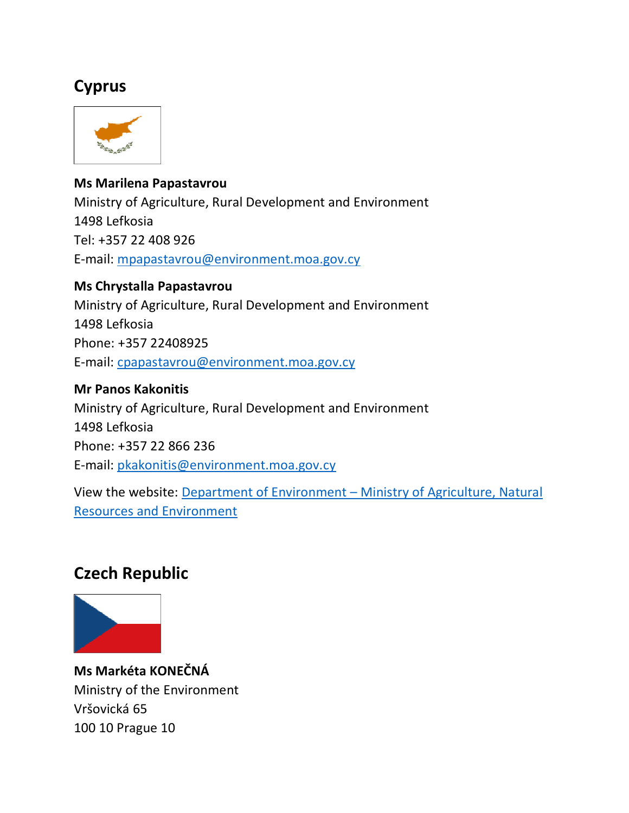# **Cyprus**



#### **Ms Marilena Papastavrou**

Ministry of Agriculture, Rural Development and Environment 1498 Lefkosia Tel: +357 22 408 926 E-mail: [mpapastavrou@environment.moa.gov.cy](mailto:lifeplus@minambiente.it)

#### **Ms Chrystalla Papastavrou**

Ministry of Agriculture, Rural Development and Environment 1498 Lefkosia Phone: +357 22408925 E-mail: [cpapastavrou@environment.moa.gov.cy](mailto:cpapastavrou@environment.moa.gov.cy)

#### **Mr Panos Kakonitis**

Ministry of Agriculture, Rural Development and Environment 1498 Lefkosia Phone: +357 22 866 236 E-mail: [pkakonitis@environment.moa.gov.cy](mailto:pkakonitis@environment.moa.gov.cy)

View the website: Department of Environment – [Ministry of Agriculture, Natural](http://www.moa.gov.cy/environment)  [Resources and Environment](http://www.moa.gov.cy/environment) 

## **Czech Republic**



**Ms Markéta KONEČNÁ** Ministry of the Environment Vršovická 65 100 10 Prague 10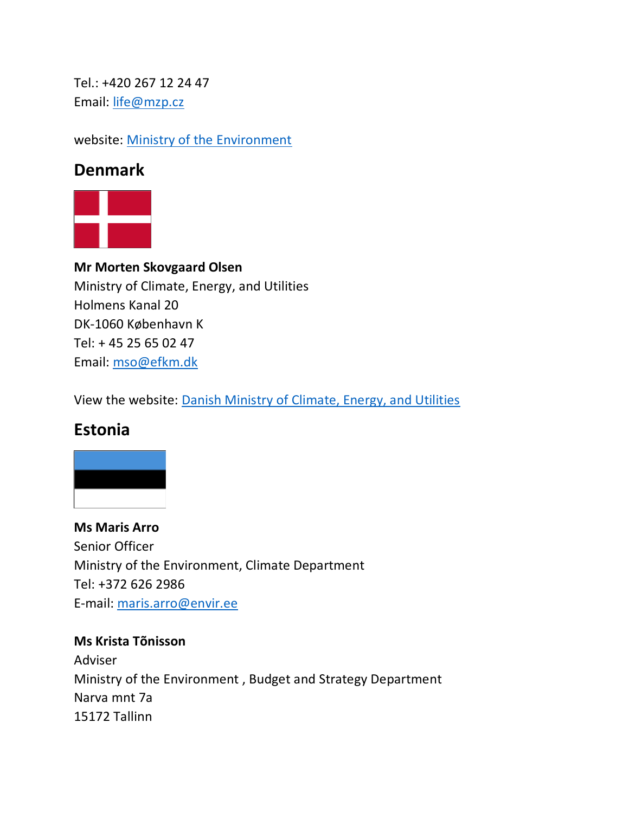Tel.: +420 267 12 24 47 Email: [life@mzp.cz](mailto:life@mzp.cz)

website: [Ministry of the Environment](http://www.mzp.cz/cz/komunitarni_program_life%20program-life.cz)

### **Denmark**



**Mr Morten Skovgaard Olsen** Ministry of Climate, Energy, and Utilities Holmens Kanal 20 DK-1060 København K Tel: + 45 25 65 02 47 Email: [mso@efkm.dk](mailto:mso@efkm.dk)

View the website: [Danish Ministry of Climate, Energy, and Utilities](https://en.kefm.dk/) 

# **Estonia**



**Ms Maris Arro** Senior Officer Ministry of the Environment, Climate Department Tel: +372 626 2986 E-mail: [maris.arro@envir.ee](mailto:maris.arro@envir.ee)

**Ms Krista Tõnisson** Adviser Ministry of the Environment , Budget and Strategy Department Narva mnt 7a 15172 Tallinn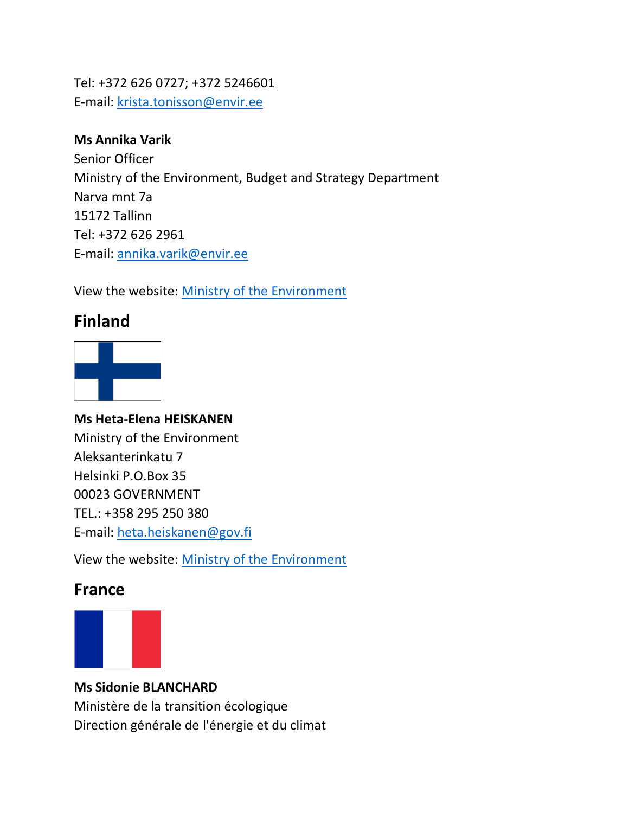Tel: +372 626 0727; +372 5246601 E-mail: [krista.tonisson@envir.ee](mailto:krista.tonisson@envir.ee)

#### **Ms Annika Varik**

Senior Officer Ministry of the Environment, Budget and Strategy Department Narva mnt 7a 15172 Tallinn Tel: +372 626 2961 E-mail: [annika.varik@envir.ee](mailto:annika.varik@envir.ee)

View the website: [Ministry of the Environment](http://www.envir.ee/et/life-2014-2020)

# **Finland**



### **Ms Heta-Elena HEISKANEN** Ministry of the Environment Aleksanterinkatu 7 Helsinki P.O.Box 35 00023 GOVERNMENT TEL.: +358 295 250 380 E-mail: [heta.heiskanen@gov.fi](mailto:heta.heiskanen@gov.fi)

View the website: [Ministry of the Environment](http://www.ym.fi/en-US/The_Ministry/Financing_and_subsidies/Life_funding/Life_is_the_European_Union_Financial_Ins(1809))

# **France**



### **Ms Sidonie BLANCHARD**

Ministère de la transition écologique Direction générale de l'énergie et du climat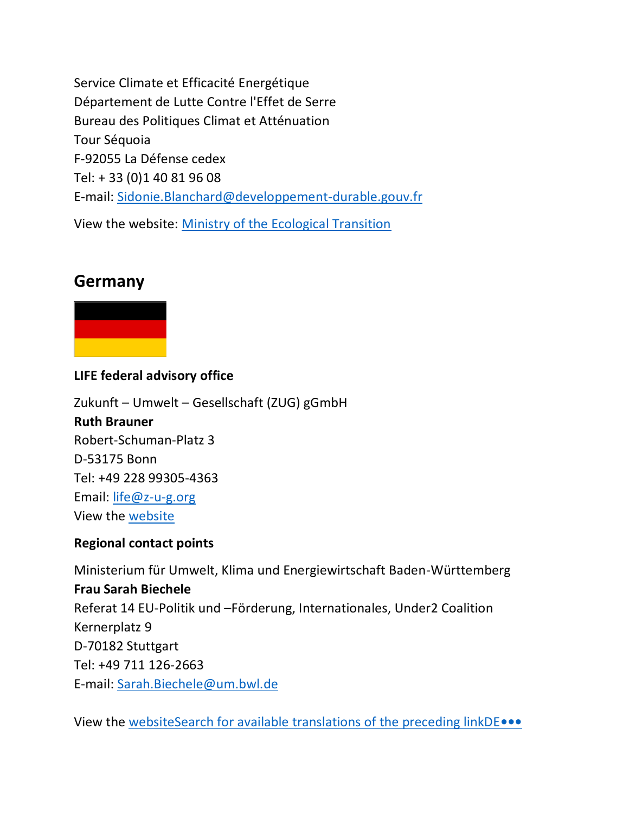Service Climate et Efficacité Energétique Département de Lutte Contre l'Effet de Serre Bureau des Politiques Climat et Atténuation Tour Séquoia F-92055 La Défense cedex Tel: + 33 (0)1 40 81 96 08 E-mail: [Sidonie.Blanchard@developpement-durable.gouv.fr](mailto:Sidonie.Blanchard@developpement-durable.gouv.fr)

View the website: [Ministry of the Ecological Transition](https://www.ecologie.gouv.fr/programme-europeen-financement-life)

## **Germany**



#### **LIFE federal advisory office**

Zukunft – Umwelt – Gesellschaft (ZUG) gGmbH **Ruth Brauner** Robert-Schuman-Platz 3 D-53175 Bonn Tel: +49 228 99305-4363 Email: [life@z-u-g.org](mailto:ruth.brauner@z-u-g.org) View the [website](http://www.life-deutschland.de/)

#### **Regional contact points**

Ministerium für Umwelt, Klima und Energiewirtschaft Baden-Württemberg **Frau Sarah Biechele** Referat 14 EU-Politik und –Förderung, Internationales, Under2 Coalition Kernerplatz 9 D-70182 Stuttgart Tel: +49 711 126-2663 E-mail: [Sarah.Biechele@um.bwl.de](mailto:Sarah.Biechele@um.bwl.de)

View the [websiteSearch for available translations of the preceding linkDE](https://um.baden-wuerttemberg.de/de/ministerium/internationale-zusammenarbeit/europaeische-union/eu-foerderprogramme/eu-foerderprogramm-life/)**•••**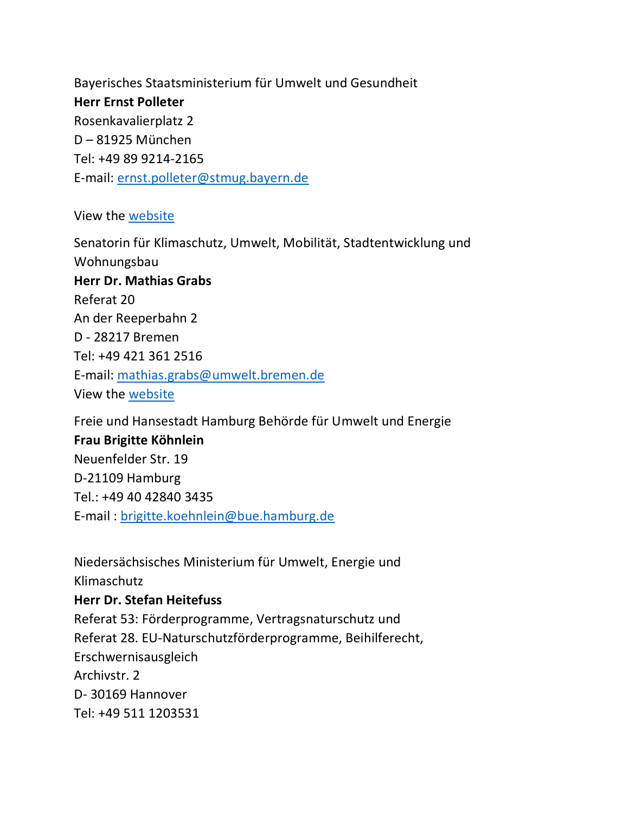Bayerisches Staatsministerium für Umwelt und Gesundheit **Herr Ernst Polleter** Rosenkavalierplatz 2 D – 81925 München Tel: +49 89 9214-2165 E-mail: [ernst.polleter@stmug.bayern.de](mailto:ernst.polleter@stmug.bayern.de)

View the [website](https://www.stmuv.bayern.de/themen/naturschutz/foerderung/life/index.htm)

Senatorin für Klimaschutz, Umwelt, Mobilität, Stadtentwicklung und Wohnungsbau **Herr Dr. Mathias Grabs**  Referat 20 An der Reeperbahn 2 D - 28217 Bremen Tel: +49 421 361 2516 E-mail: [mathias.grabs@umwelt.bremen.de](mailto:mathias.grabs@umwelt.bremen.de) View the website

Freie und Hansestadt Hamburg Behörde für Umwelt und Energie **Frau Brigitte Köhnlein** Neuenfelder Str. 19 D-21109 Hamburg Tel.: +49 40 42840 3435 E-mail : [brigitte.koehnlein@bue.hamburg.de](mailto:brigitte.koehnlein@bue.hamburg.de)

Niedersächsisches Ministerium für Umwelt, Energie und Klimaschutz **Herr Dr. Stefan Heitefuss** Referat 53: Förderprogramme, Vertragsnaturschutz und Referat 28. EU-Naturschutzförderprogramme, Beihilferecht, Erschwernisausgleich Archivstr. 2 D- 30169 Hannover Tel: +49 511 1203531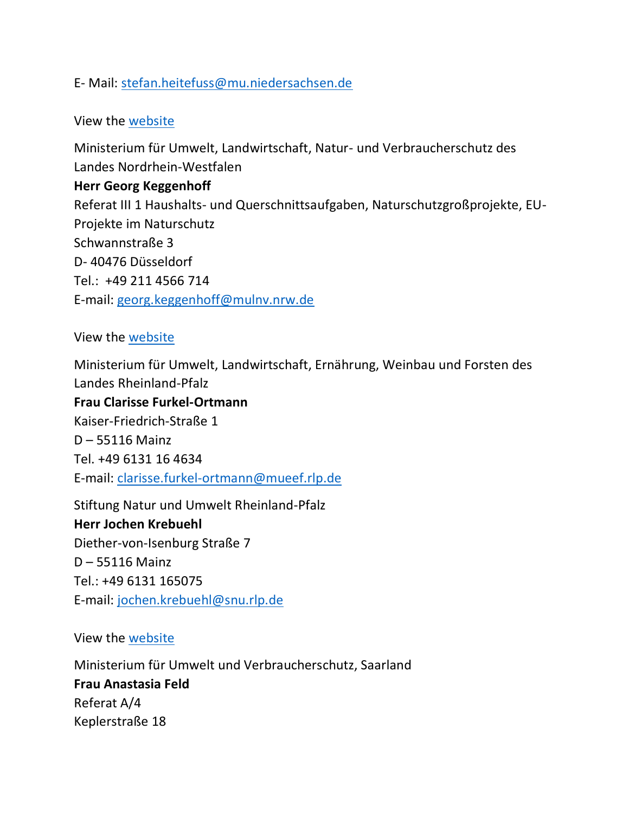#### E- Mail: [stefan.heitefuss@mu.niedersachsen.de](mailto:stefan.heitefuss@mu.niedersachsen.de)

#### View the [website](https://www.umwelt.niedersachsen.de/themen/natur_landschaft/foerdermoeglichkeiten/life/life-117328.html)

Ministerium für Umwelt, Landwirtschaft, Natur- und Verbraucherschutz des Landes Nordrhein-Westfalen **Herr Georg Keggenhoff** Referat III 1 Haushalts- und Querschnittsaufgaben, Naturschutzgroßprojekte, EU-Projekte im Naturschutz Schwannstraße 3 D- 40476 Düsseldorf Tel.: +49 211 4566 714 E-mail: [georg.keggenhoff@mulnv.nrw.de](mailto:georg.keggenhoff@mulnv.nrw.de)

#### View the [website](https://www.umwelt.nrw.de/naturschutz/natur/foerderprogramme/life/)

Ministerium für Umwelt, Landwirtschaft, Ernährung, Weinbau und Forsten des Landes Rheinland-Pfalz

**Frau Clarisse Furkel-Ortmann** Kaiser-Friedrich-Straße 1 D – 55116 Mainz Tel. +49 6131 16 4634 E-mail: [clarisse.furkel-ortmann@mueef.rlp.de](mailto:clarisse.furkel-ortmann@mueef.rlp.de)

Stiftung Natur und Umwelt Rheinland-Pfalz **Herr Jochen Krebuehl** Diether-von-Isenburg Straße 7 D – 55116 Mainz Tel.: +49 6131 165075 E-mail: [jochen.krebuehl@snu.rlp.de](mailto:jochen.krebuehl@snu.rlp.de)

View the [website](https://snu.rlp.de/de/projekte/moore/life-hochwald/das-eu-life-projekt/das-eu-life-programm/)

Ministerium für Umwelt und Verbraucherschutz, Saarland **Frau Anastasia Feld** Referat A/4 Keplerstraße 18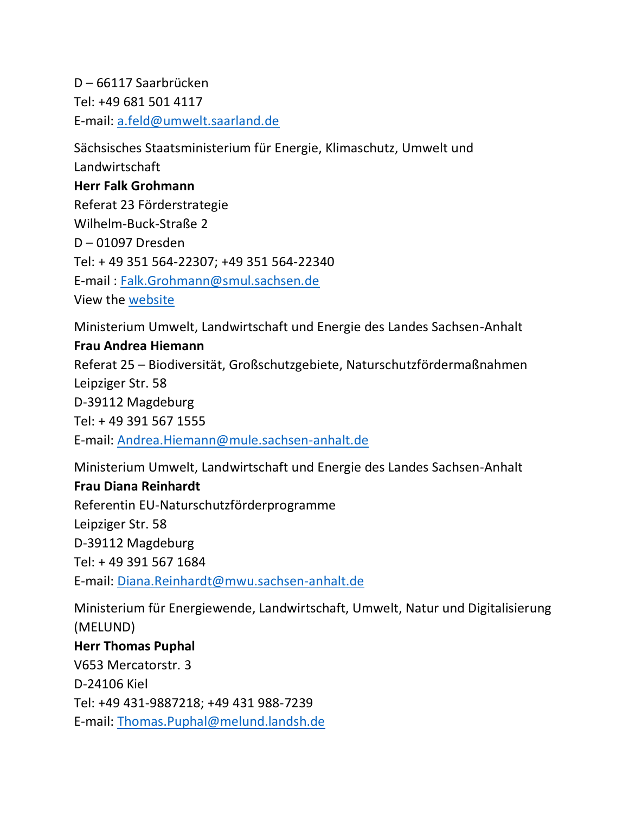D – 66117 Saarbrücken Tel: +49 681 501 4117 E-mail: [a.feld@umwelt.saarland.de](mailto:a.feld@umwelt.saarland.de)

Sächsisches Staatsministerium für Energie, Klimaschutz, Umwelt und Landwirtschaft **Herr Falk Grohmann** Referat 23 Förderstrategie Wilhelm-Buck-Straße 2 D – 01097 Dresden Tel: + 49 351 564-22307; +49 351 564-22340 E-mail : [Falk.Grohmann@smul.sachsen.de](mailto:Falk.Grohmann@smul.sachsen.de) View the [website](http://www.smul.sachsen.de/foerderung/48.htm)

Ministerium Umwelt, Landwirtschaft und Energie des Landes Sachsen-Anhalt

#### **Frau Andrea Hiemann**

Referat 25 – Biodiversität, Großschutzgebiete, Naturschutzfördermaßnahmen Leipziger Str. 58 D-39112 Magdeburg Tel: + 49 391 567 1555 E-mail: [Andrea.Hiemann@mule.sachsen-anhalt.de](mailto:Andrea.Hiemann@mule.sachsen-anhalt.de)

Ministerium Umwelt, Landwirtschaft und Energie des Landes Sachsen-Anhalt

#### **Frau Diana Reinhardt**

Referentin EU-Naturschutzförderprogramme Leipziger Str. 58 D-39112 Magdeburg Tel: + 49 391 567 1684 E-mail: [Diana.Reinhardt@mwu.sachsen-anhalt.de](mailto:Diana.Reinhardt@mwu.sachsen-anhalt.de)

Ministerium für Energiewende, Landwirtschaft, Umwelt, Natur und Digitalisierung (MELUND) **Herr Thomas Puphal** V653 Mercatorstr. 3 D-24106 Kiel Tel: +49 431-9887218; +49 431 988-7239 E-mail: [Thomas.Puphal@melund.landsh.de](mailto:Thomas.Puphal@melund.landsh.de)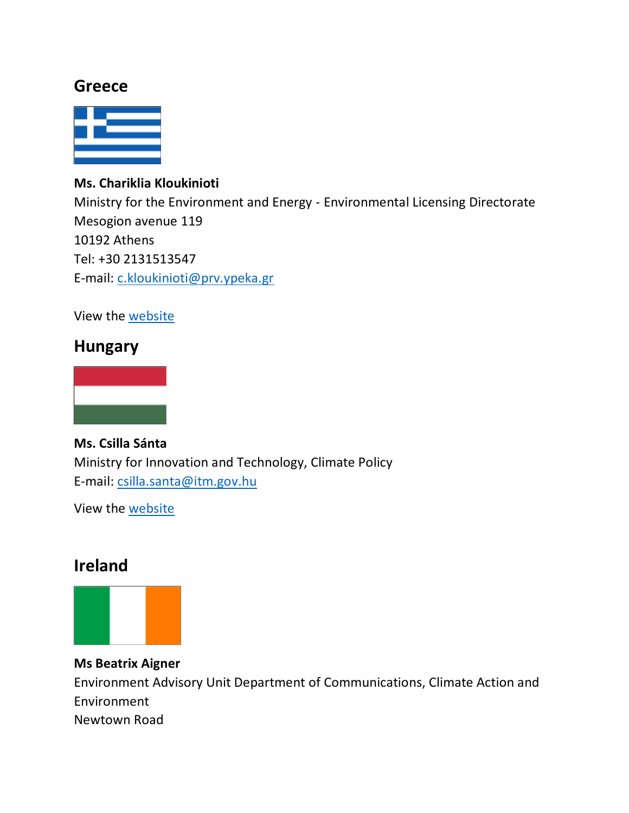### **Greece**



#### **Ms. Chariklia Kloukinioti**

Ministry for the Environment and Energy - Environmental Licensing Directorate Mesogion avenue 119 10192 Athens Tel: +30 2131513547 E-mail: [c.kloukinioti@prv.ypeka.gr](mailto:c.kloukinioti@prv.ypeka.gr)

View the [website](http://www.ypeka.gr/Default.aspx?tabid=468&language=el-GR) 

### **Hungary**



**Ms. Csilla Sánta** Ministry for Innovation and Technology, Climate Policy E-mail: [csilla.santa@itm.gov.hu](mailto:%20csilla.santa@itm.gov.hu)

View the [website](http://kormany.hu/hu/innovacios-es-technologiai-miniszterium)

## **Ireland**



**Ms Beatrix Aigner** Environment Advisory Unit Department of Communications, Climate Action and Environment Newtown Road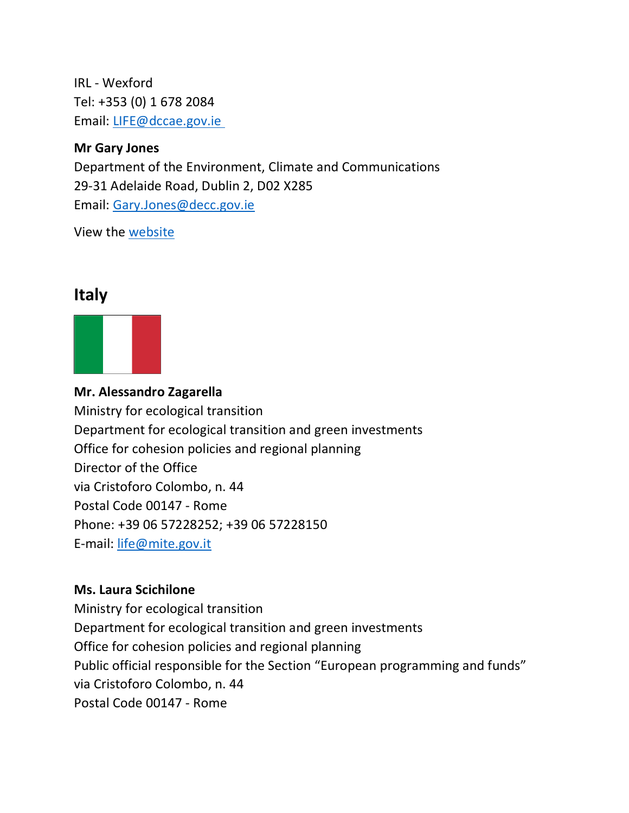IRL - Wexford Tel: +353 (0) 1 678 2084 Email: [LIFE@dccae.gov.ie](mailto:%20LIFE@dccae.gov.ie )

#### **Mr Gary Jones**

Department of the Environment, Climate and Communications 29-31 Adelaide Road, Dublin 2, D02 X285 Email: [Gary.Jones@decc.gov.ie](mailto:InnovationFund@decc.gov.ie)

View the [website](https://www.gov.ie/en/organisation/department-of-the-environment-climate-and-communications/)

### **Italy**



**Mr. Alessandro Zagarella**

Ministry for ecological transition Department for ecological transition and green investments Office for cohesion policies and regional planning Director of the Office via Cristoforo Colombo, n. 44 Postal Code 00147 - Rome Phone: +39 06 57228252; +39 06 57228150 E-mail: [life@mite.gov.it](mailto:life@mite.gov.it)

#### **Ms. Laura Scichilone**

Ministry for ecological transition Department for ecological transition and green investments Office for cohesion policies and regional planning Public official responsible for the Section "European programming and funds" via Cristoforo Colombo, n. 44 Postal Code 00147 - Rome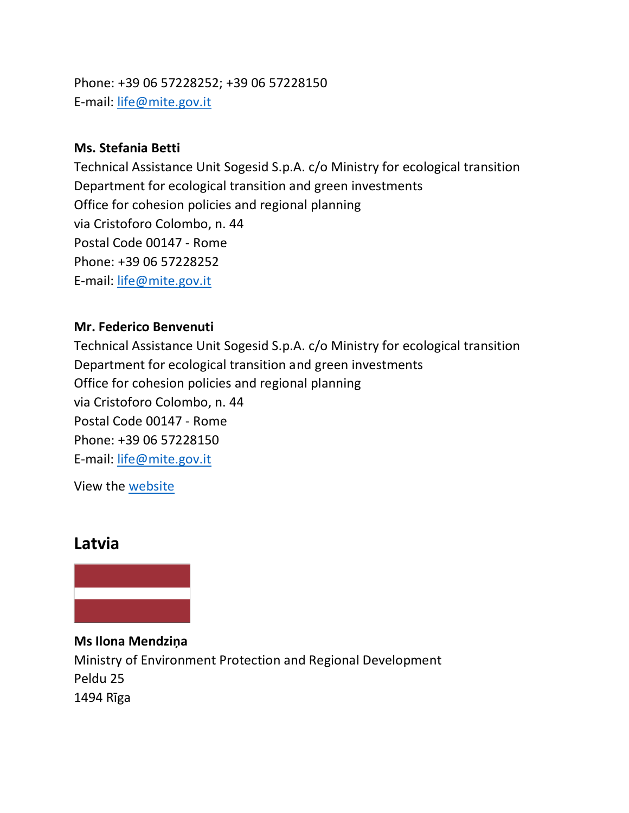Phone: +39 06 57228252; +39 06 57228150 E-mail: [life@mite.gov.it](mailto:life@mite.gov.it)

#### **Ms. Stefania Betti**

Technical Assistance Unit Sogesid S.p.A. c/o Ministry for ecological transition Department for ecological transition and green investments Office for cohesion policies and regional planning via Cristoforo Colombo, n. 44 Postal Code 00147 - Rome Phone: +39 06 57228252 E-mail: [life@mite.gov.it](mailto:life@mite.gov.it)

#### **Mr. Federico Benvenuti**

Technical Assistance Unit Sogesid S.p.A. c/o Ministry for ecological transition Department for ecological transition and green investments Office for cohesion policies and regional planning via Cristoforo Colombo, n. 44 Postal Code 00147 - Rome Phone: +39 06 57228150 E-mail: [life@mite.gov.it](mailto:life@mite.gov.it)

View the [website](https://www.minambiente.it/pagina/contatti-7)

### **Latvia**



**Ms Ilona Mendziņa** Ministry of Environment Protection and Regional Development Peldu 25 1494 Rīga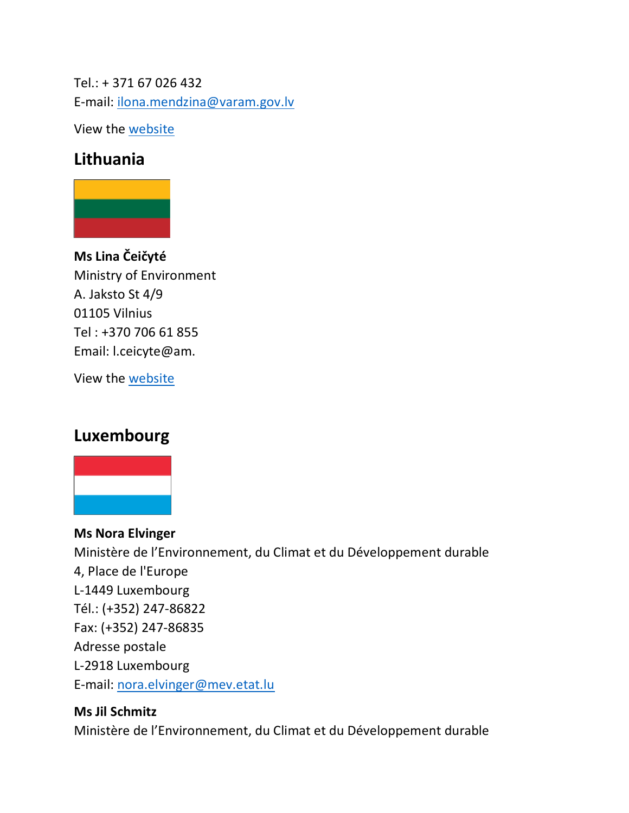Tel.: + 371 67 026 432 E-mail: [ilona.mendzina@varam.gov.lv](mailto:ilona.mendzina@varam.gov.lv)

View the [website](https://www.lifeprogramma.lv/en/home)

# **Lithuania**



**Ms Lina Čeičyté** Ministry of Environment A. Jaksto St 4/9 01105 Vilnius Tel : +370 706 61 855 Email: l.ceicyte@am.

View the [website](http://am.lrv.lt/lt/veiklos-sritys-1/finansines-programos/es-life-programa)

# **Luxembourg**



**Ms Nora Elvinger** Ministère de l'Environnement, du Climat et du Développement durable 4, Place de l'Europe L-1449 Luxembourg Tél.: (+352) 247-86822 Fax: (+352) 247-86835 Adresse postale L-2918 Luxembourg E-mail: [nora.elvinger@mev.etat.lu](mailto:nora.elvinger@mev.etat.lu)

### **Ms Jil Schmitz** Ministère de l'Environnement, du Climat et du Développement durable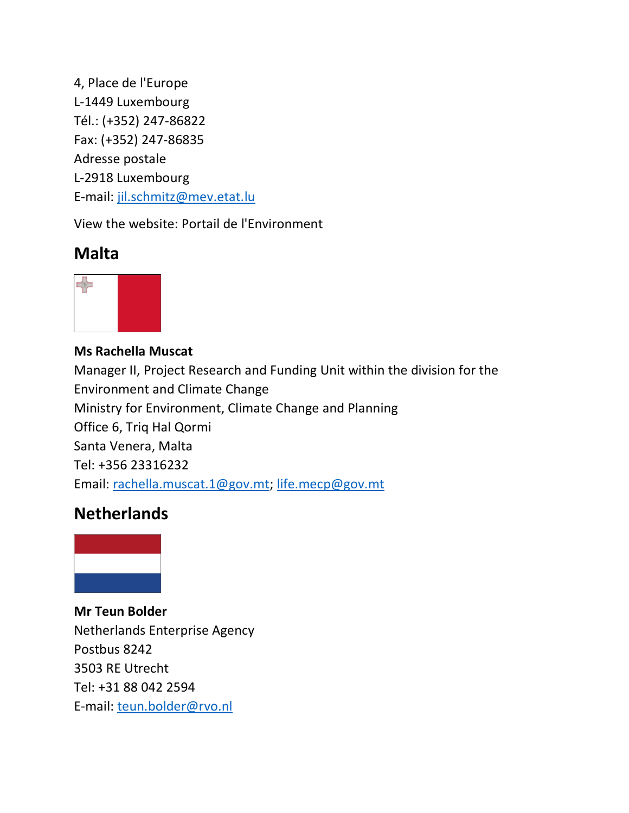4, Place de l'Europe L-1449 Luxembourg Tél.: (+352) 247-86822 Fax: (+352) 247-86835 Adresse postale L-2918 Luxembourg E-mail: [jil.schmitz@mev.etat.lu](mailto:jil.schmitz@mev.etat.lu)

View the website: Portail de l'Environment

# **Malta**



**Ms Rachella Muscat** Manager II, Project Research and Funding Unit within the division for the Environment and Climate Change Ministry for Environment, Climate Change and Planning Office 6, Triq Hal Qormi Santa Venera, Malta Tel: +356 23316232 Email: [rachella.muscat.1@gov.mt;](mailto:rachella.muscat.1@gov.mt) [life.mecp@gov.mt](mailto:life.mecpc@gov.mt)

# **Netherlands**



**Mr Teun Bolder** Netherlands Enterprise Agency Postbus 8242 3503 RE Utrecht Tel: +31 88 042 2594 E-mail: [teun.bolder@rvo.nl](mailto:teun.bolder@rvo.nl)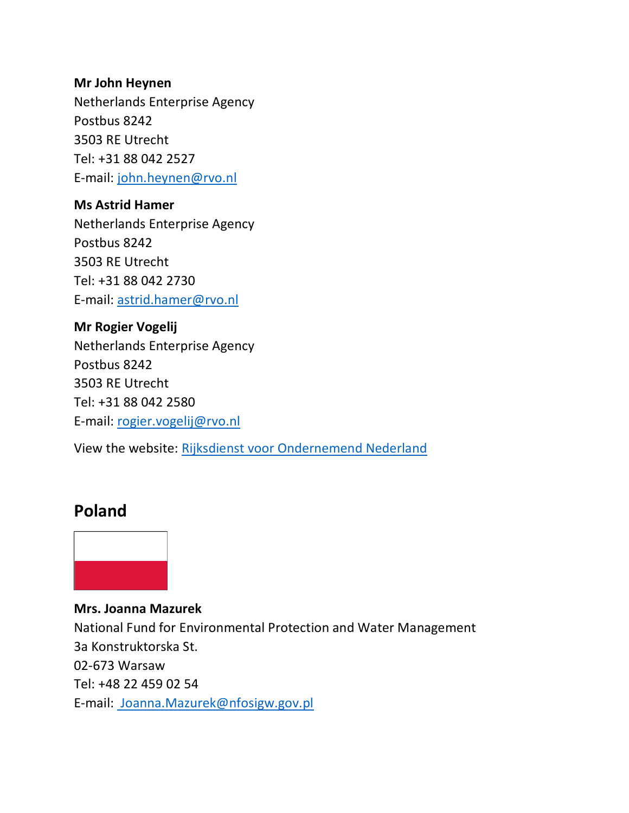#### **Mr John Heynen**

Netherlands Enterprise Agency Postbus 8242 3503 RE Utrecht Tel: +31 88 042 2527 E-mail: [john.heynen@rvo.nl](mailto:john.heynen@rvo.nl)

#### **Ms Astrid Hamer**

Netherlands Enterprise Agency Postbus 8242 3503 RE Utrecht Tel: +31 88 042 2730 E-mail: [astrid.hamer@rvo.nl](mailto:astrid.hamer@rvo.nl)

**Mr Rogier Vogelij** Netherlands Enterprise Agency Postbus 8242 3503 RE Utrecht Tel: +31 88 042 2580 E-mail: [rogier.vogelij@rvo.nl](mailto:rogier.vogelij@rvo.nl)

View the website: [Rijksdienst voor Ondernemend Nederland](https://www.rvo.nl/)

### **Poland**



**Mrs. Joanna Mazurek** National Fund for Environmental Protection and Water Management 3a Konstruktorska St. 02-673 Warsaw Tel: +48 22 459 02 54 E-mail: [Joanna.Mazurek@nfosigw.gov.pl](mailto:%20Joanna.Mazurek@nfosigw.gov.pl)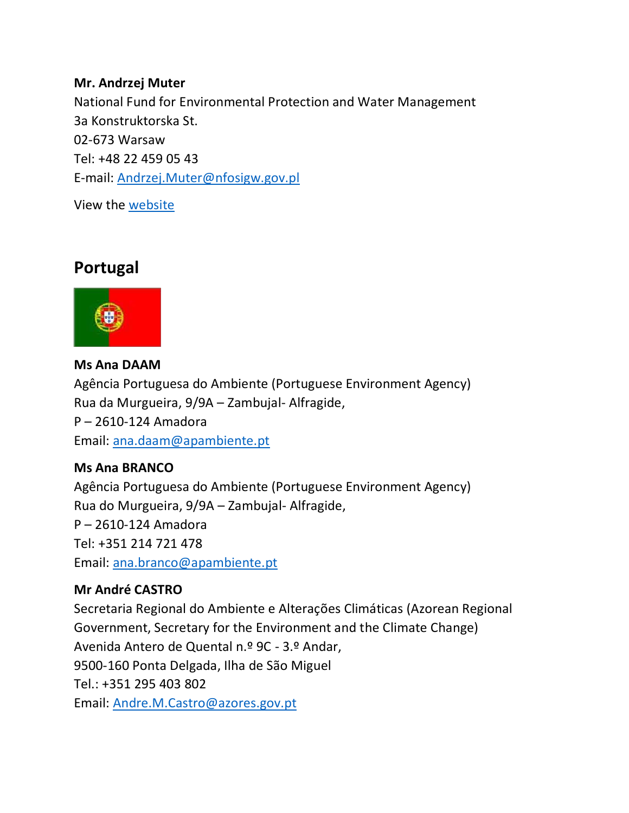#### **Mr. Andrzej Muter**

National Fund for Environmental Protection and Water Management 3a Konstruktorska St. 02-673 Warsaw Tel: +48 22 459 05 43 E-mail: [Andrzej.Muter@nfosigw.gov.pl](mailto:Andrzej.Muter@nfosigw.gov.pl)

View the [website](https://www.gov.pl/web/nfosigw/program-life)

## **Portugal**



**Ms Ana DAAM** Agência Portuguesa do Ambiente (Portuguese Environment Agency) Rua da Murgueira, 9/9A – Zambujal- Alfragide, P – 2610-124 Amadora Email: [ana.daam@apambiente.pt](mailto:ana.daam@apambiente.pt)

#### **Ms Ana BRANCO**

Agência Portuguesa do Ambiente (Portuguese Environment Agency) Rua do Murgueira, 9/9A – Zambujal- Alfragide, P – 2610-124 Amadora Tel: +351 214 721 478 Email: [ana.branco@apambiente.pt](mailto:ana.branco@apambiente.pt)

#### **Mr André CASTRO**

Secretaria Regional do Ambiente e Alterações Climáticas (Azorean Regional Government, Secretary for the Environment and the Climate Change) Avenida Antero de Quental n.º 9C - 3.º Andar, 9500-160 Ponta Delgada, Ilha de São Miguel Tel.: +351 295 403 802 Email: [Andre.M.Castro@azores.gov.pt](mailto:Andre.M.Castro@azores.gov.pt)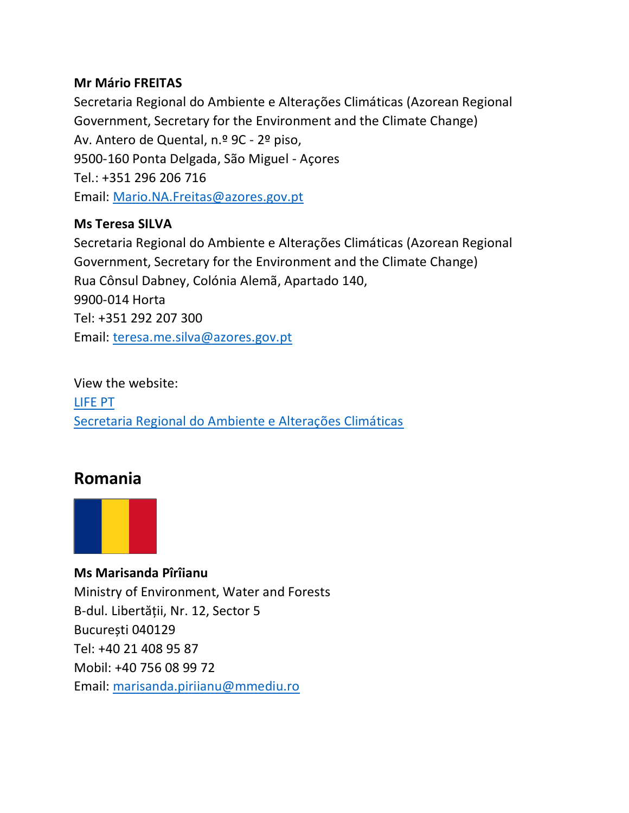#### **Mr Mário FREITAS**

Secretaria Regional do Ambiente e Alterações Climáticas (Azorean Regional Government, Secretary for the Environment and the Climate Change) Av. Antero de Quental, n.º 9C - 2º piso, 9500-160 Ponta Delgada, São Miguel - Açores Tel.: +351 296 206 716 Email: [Mario.NA.Freitas@azores.gov.pt](mailto:Mario.NA.Freitas@azores.gov.pt)

#### **Ms Teresa SILVA**

Secretaria Regional do Ambiente e Alterações Climáticas (Azorean Regional Government, Secretary for the Environment and the Climate Change) Rua Cônsul Dabney, Colónia Alemã, Apartado 140, 9900-014 Horta Tel: +351 292 207 300 Email: [teresa.me.silva@azores.gov.pt](mailto:teresa.me.silva@azores.gov.pt)

View the website: [LIFE PT](https://life.apambiente.pt/) [Secretaria Regional do Ambiente e Alterações Climáticas](https://portal.azores.gov.pt/web/sraac)

## **Romania**



**Ms Marisanda Pîrîianu**  Ministry of Environment, Water and Forests B-dul. Libertății, Nr. 12, Sector 5 București 040129 Tel: +40 21 408 95 87 Mobil: +40 756 08 99 72 Email: [marisanda.piriianu@mmediu.ro](mailto:marisanda.piriianu@mmediu.ro)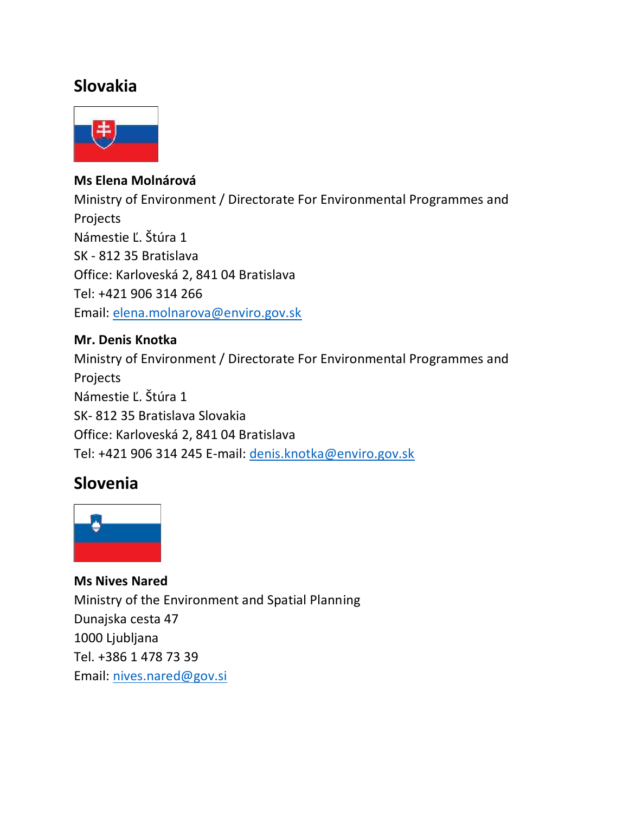# **Slovakia**



#### **Ms Elena Molnárová**

Ministry of Environment / Directorate For Environmental Programmes and Projects Námestie Ľ. Štúra 1 SK - 812 35 Bratislava Office: Karloveská 2, 841 04 Bratislava Tel: +421 906 314 266 Email: [elena.molnarova@enviro.gov.sk](mailto:elena.molnarova@enviro.gov.sk)

#### **Mr. Denis Knotka**

Ministry of Environment / Directorate For Environmental Programmes and Projects Námestie Ľ. Štúra 1 SK- 812 35 Bratislava Slovakia Office: Karloveská 2, 841 04 Bratislava Tel: +421 906 314 245 E-mail: [denis.knotka@enviro.gov.sk](mailto:denis.knotka@enviro.gov.sk)

## **Slovenia**



**Ms Nives Nared**  Ministry of the Environment and Spatial Planning Dunajska cesta 47 1000 Ljubljana Tel. +386 1 478 73 39 Email: [nives.nared@gov.si](mailto:nives.nared@gov.si)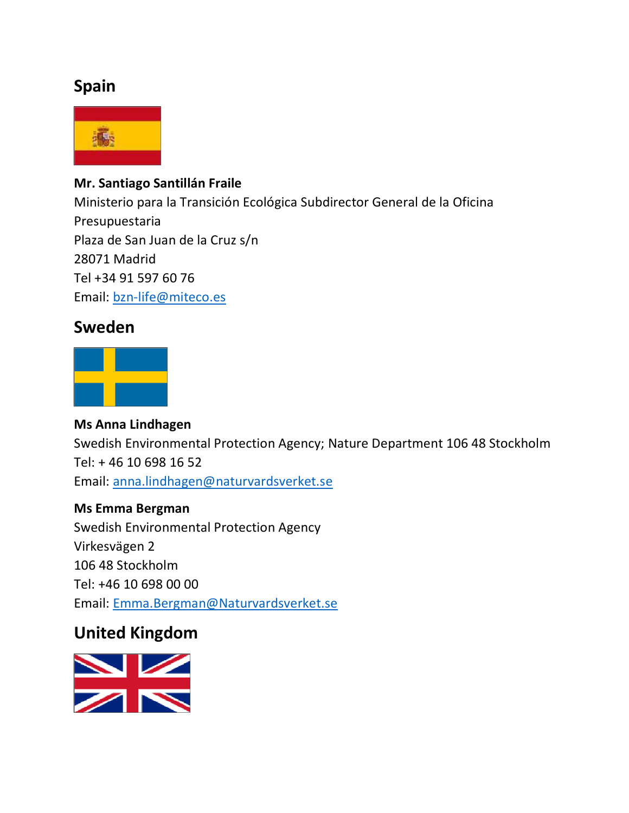# **Spain**



#### **Mr. Santiago Santillán Fraile**

Ministerio para la Transición Ecológica Subdirector General de la Oficina Presupuestaria Plaza de San Juan de la Cruz s/n 28071 Madrid Tel +34 91 597 60 76 Email: [bzn-life@miteco.es](mailto:bzn-life@miteco.es)

## **Sweden**



#### **Ms Anna Lindhagen**

Swedish Environmental Protection Agency; Nature Department 106 48 Stockholm Tel: + 46 10 698 16 52 Email: [anna.lindhagen@naturvardsverket.se](mailto:anna.lindhagen@naturvardsverket.se)

#### **Ms Emma Bergman**

Swedish Environmental Protection Agency Virkesvägen 2 106 48 Stockholm Tel: +46 10 698 00 00 Email: [Emma.Bergman@Naturvardsverket.se](mailto:Emma.Bergman@Naturvardsverket.se)

## **United Kingdom**